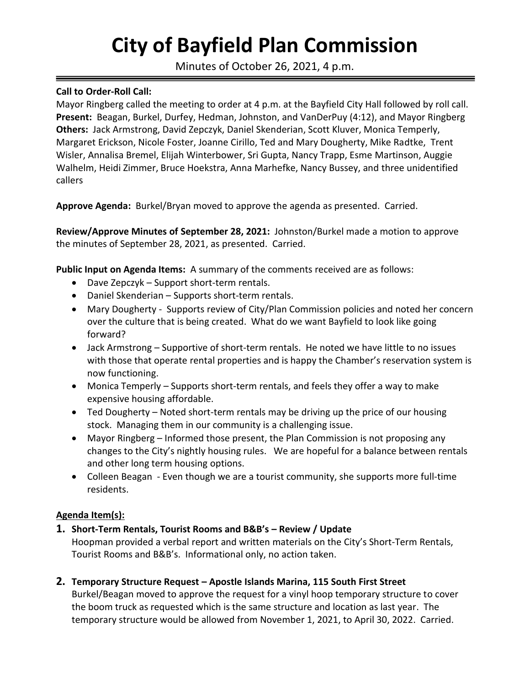# **City of Bayfield Plan Commission**

Minutes of October 26, 2021, 4 p.m.

### **Call to Order-Roll Call:**

Mayor Ringberg called the meeting to order at 4 p.m. at the Bayfield City Hall followed by roll call. **Present:** Beagan, Burkel, Durfey, Hedman, Johnston, and VanDerPuy (4:12), and Mayor Ringberg **Others:** Jack Armstrong, David Zepczyk, Daniel Skenderian, Scott Kluver, Monica Temperly, Margaret Erickson, Nicole Foster, Joanne Cirillo, Ted and Mary Dougherty, Mike Radtke, Trent Wisler, Annalisa Bremel, Elijah Winterbower, Sri Gupta, Nancy Trapp, Esme Martinson, Auggie Walhelm, Heidi Zimmer, Bruce Hoekstra, Anna Marhefke, Nancy Bussey, and three unidentified callers

**Approve Agenda:** Burkel/Bryan moved to approve the agenda as presented. Carried.

**Review/Approve Minutes of September 28, 2021:** Johnston/Burkel made a motion to approve the minutes of September 28, 2021, as presented. Carried.

**Public Input on Agenda Items:** A summary of the comments received are as follows:

- Dave Zepczyk Support short-term rentals.
- Daniel Skenderian Supports short-term rentals.
- Mary Dougherty Supports review of City/Plan Commission policies and noted her concern over the culture that is being created. What do we want Bayfield to look like going forward?
- Jack Armstrong Supportive of short-term rentals. He noted we have little to no issues with those that operate rental properties and is happy the Chamber's reservation system is now functioning.
- Monica Temperly Supports short-term rentals, and feels they offer a way to make expensive housing affordable.
- Ted Dougherty Noted short-term rentals may be driving up the price of our housing stock. Managing them in our community is a challenging issue.
- Mayor Ringberg Informed those present, the Plan Commission is not proposing any changes to the City's nightly housing rules. We are hopeful for a balance between rentals and other long term housing options.
- Colleen Beagan Even though we are a tourist community, she supports more full-time residents.

# **Agenda Item(s):**

**1. Short-Term Rentals, Tourist Rooms and B&B's – Review / Update**

Hoopman provided a verbal report and written materials on the City's Short-Term Rentals, Tourist Rooms and B&B's. Informational only, no action taken.

**2. Temporary Structure Request – Apostle Islands Marina, 115 South First Street**

Burkel/Beagan moved to approve the request for a vinyl hoop temporary structure to cover the boom truck as requested which is the same structure and location as last year. The temporary structure would be allowed from November 1, 2021, to April 30, 2022. Carried.